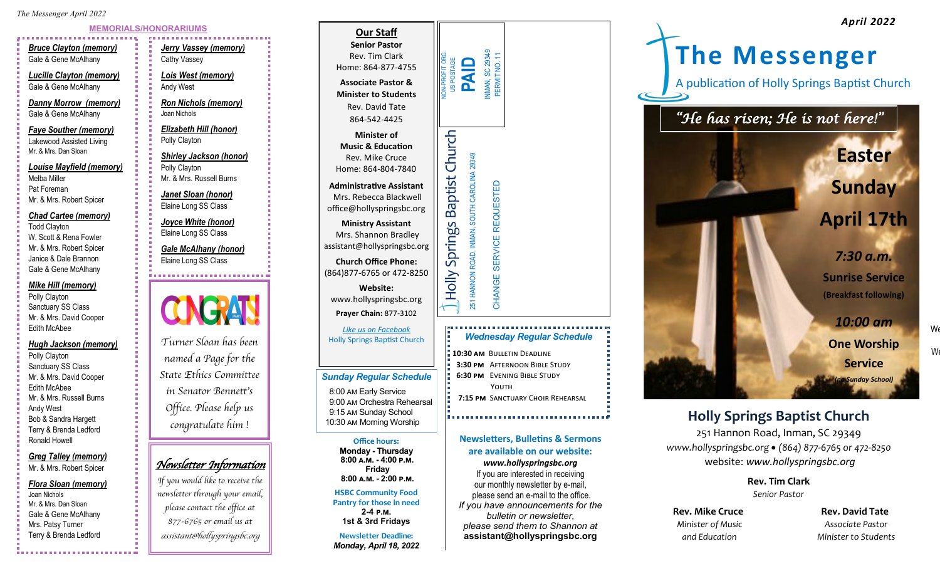*The Messenger April 2022*

# **MEMORIALS/HONORARIUMS**

*Bruce Clayton (memory)* Gale & Gene McAlhany

*Lucille Clayton (memory)* Gale & Gene McAlhany

*Danny Morrow (memory)* Gale & Gene McAlhany

*Faye Souther (memory)* Lakewood Assisted Living Mr. & Mrs. Dan Sloan

*Louise Mayfield (memory)* Melba Miller Pat Foreman Mr. & Mrs. Robert Spicer

#### *Chad Cartee (memory)*

Todd Clayton W. Scott & Rena Fowler Mr. & Mrs. Robert Spicer Janice & Dale Brannon Gale & Gene McAlhany

## *Mike Hill (memory)*

Polly Clayton Sanctuary SS Class Mr. & Mrs. David Cooper Edith McAbee

#### *Hugh Jackson (memory)*

Polly Clayton Sanctuary SS Class Mr. & Mrs. David Cooper Edith McAbee Mr. & Mrs. Russell Burns Andy West Bob & Sandra Hargett Terry & Brenda Ledford Ronald Howell

*Greg Talley (memory)* Mr. & Mrs. Robert Spicer

#### *Flora Sloan (memory)*

Joan Nichols Mr. & Mrs. Dan Sloan Gale & Gene McAlhany Mrs. Patsy Turner Terry & Brenda Ledford

*Jerry Vassey (memory)* Cathy Vassey *Lois West (memory)* Andy West

*Ron Nichols (memory)* Joan Nichols

*Elizabeth Hill (honor)* Polly Clayton

#### *Shirley Jackson (honor)* Polly Clayton Mr. & Mrs. Russell Burns

*Janet Sloan (honor)* Elaine Long SS Class

*Joyce White (honor)* Elaine Long SS Class

*Gale McAlhany (honor)* Elaine Long SS Class



*Turner Sloan has been named a Page for the State Ethics Committee in Senator Bennett's Office. Please help us congratulate him !*

# *Newsletter Information*

*If you would like to receive the newsletter through your email, please contact the office at 877-6765 or email us at assistant@hollyspringsbc.org*



- **10:30 am** Bulletin Deadline  **3:30 pm** Afternoon Bible Study  **6:30 pm** Evening Bible Study YOUTH
- **7:15 PM** SANCTUARY CHOIR REHEARSAL

## **Newsletters, Bulletins & Sermons are available on our website:**

**Office hours: Monday - Thursday 8:00 a.m. - 4:00 p.m. Friday 8:00 a.m. - 2:00 p.m. HSBC Community Food Pantry for those in need 2-4 p.m. 1st & 3rd Fridays Newsletter Deadline:**  *Monday, April 18, 2022*

*Sunday Regular Schedule* 8:00 am Early Service 9:00 am Orchestra Rehearsal 9:15 am Sunday School

> *www.hollyspringsbc.org* If you are interested in receiving our monthly newsletter by e-mail, please send an e-mail to the office. *If you have announcements for the*

*bulletin or newsletter, please send them to Shannon at* **assistant@hollyspringsbc.org**



# 9:15 am Sunday School **Property Church** 10:30 am Morning Worship **Holly Springs Baptist Church**

251 Hannon Road, Inman, SC 29349 *www.hollyspringsbc.org* • *(864) 877-6765 or 472-8250* website: *www.hollyspringsbc.org*

> **Rev. Tim Clark** *Senior Pastor*

**Rev. Mike Cruce Cruce Rev. David Tate** *Minister of Music Associate Pastor*

 *and Education Minister to Students* 

 $\mathsf{W}\epsilon$ 

 $W_0$